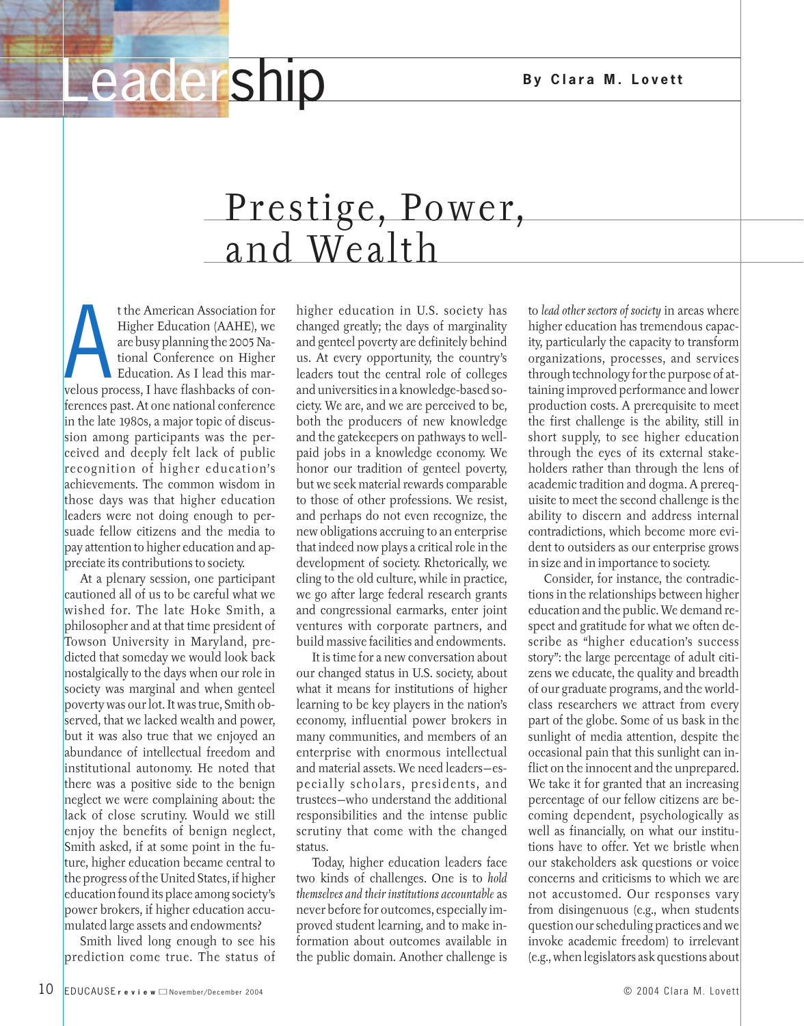## **Leadership** By Clara M. Lovett

## Prestige, Power, and Wealth

Higher Education (AAHE), we<br>are busy planning the 2005 National Conference on Higher<br>Education. As I lead this mar-<br>velous process, I have flashbacks of cont the American Association for Higher Education (AAHE), we are busy planning the 2005 National Conference on Higher Education. As I lead this marferences past. At one national conference in the late 1980s, a major topic of discussion among participants was the perceived and deeply felt lack of public recognition of higher education's achievements. The common wisdom in those days was that higher education leaders were not doing enough to persuade fellow citizens and the media to pay attention to higher education and appreciate its contributions to society.

At a plenary session, one participant cautioned all of us to be careful what we wished for. The late Hoke Smith, a philosopher and at that time president of Towson University in Maryland, predicted that someday we would look back nostalgically to the days when our role in society was marginal and when genteel poverty was our lot. It was true, Smith observed, that we lacked wealth and power, but it was also true that we enjoyed an abundance of intellectual freedom and institutional autonomy. He noted that there was a positive side to the benign neglect we were complaining about: the lack of close scrutiny. Would we still enjoy the benefits of benign neglect, Smith asked, if at some point in the future, higher education became central to the progress of the United States, if higher education found its place among society's power brokers, if higher education accumulated large assets and endowments?

Smith lived long enough to see his prediction come true. The status of

higher education in U.S. society has changed greatly; the days of marginality and genteel poverty are definitely behind us. At every opportunity, the country's leaders tout the central role of colleges and universities in a knowledge-based society. We are, and we are perceived to be, both the producers of new knowledge and the gatekeepers on pathways to wellpaid jobs in a knowledge economy. We honor our tradition of genteel poverty, but we seek material rewards comparable to those of other professions. We resist, and perhaps do not even recognize, the new obligations accruing to an enterprise that indeed now plays a critical role in the development of society. Rhetorically, we cling to the old culture, while in practice, we go after large federal research grants and congressional earmarks, enter joint ventures with corporate partners, and build massive facilities and endowments.

It is time for a new conversation about our changed status in U.S. society, about what it means for institutions of higher learning to be key players in the nation's economy, influential power brokers in many communities, and members of an enterprise with enormous intellectual and material assets. We need leaders—especially scholars, presidents, and trustees—who understand the additional responsibilities and the intense public scrutiny that come with the changed status.

Today, higher education leaders face two kinds of challenges. One is to *hold themselves and their institutions accountable* as never before for outcomes, especially improved student learning, and to make information about outcomes available in the public domain. Another challenge is to *lead other sectors of society* in areas where higher education has tremendous capacity, particularly the capacity to transform organizations, processes, and services through technology for the purpose of attaining improved performance and lower production costs. A prerequisite to meet the first challenge is the ability, still in short supply, to see higher education through the eyes of its external stakeholders rather than through the lens of academic tradition and dogma. A prerequisite to meet the second challenge is the ability to discern and address internal contradictions, which become more evident to outsiders as our enterprise grows in size and in importance to society.

Consider, for instance, the contradictions in the relationships between higher education and the public. We demand respect and gratitude for what we often describe as "higher education's success story": the large percentage of adult citizens we educate, the quality and breadth of our graduate programs, and the worldclass researchers we attract from every part of the globe. Some of us bask in the sunlight of media attention, despite the occasional pain that this sunlight can inflict on the innocent and the unprepared. We take it for granted that an increasing percentage of our fellow citizens are becoming dependent, psychologically as well as financially, on what our institutions have to offer. Yet we bristle when our stakeholders ask questions or voice concerns and criticisms to which we are not accustomed. Our responses vary from disingenuous (e.g., when students question our scheduling practices and we invoke academic freedom) to irrelevant (e.g., when legislators ask questions about